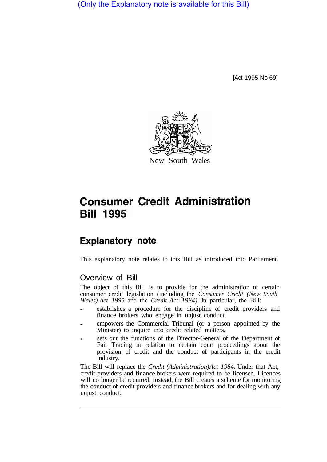(Only the Explanatory note is available for this Bill)

[Act 1995 No 69]



# **Consumer Credit Administration Bill 1995**

# **Explanatory note**

This explanatory note relates to this Bill as introduced into Parliament.

# Overview of Bill

The object of this Bill is to provide for the administration of certain consumer credit legislation (including the *Consumer Credit (New South Wales) Act 1995* and the *Credit Act 1984).* In particular, the Bill:

- establishes a procedure for the discipline of credit providers and finance brokers who engage in unjust conduct,
- empowers the Commercial Tribunal (or a person appointed by the Minister) to inquire into credit related matters,
- sets out the functions of the Director-General of the Department of Fair Trading in relation to certain court proceedings about the provision of credit and the conduct of participants in the credit industry.

The Bill will replace the *Credit (Administration) Act 1984.* Under that Act, credit providers and finance brokers were required to be licensed. Licences will no longer be required. Instead, the Bill creates a scheme for monitoring the conduct of credit providers and finance brokers and for dealing with any unjust conduct.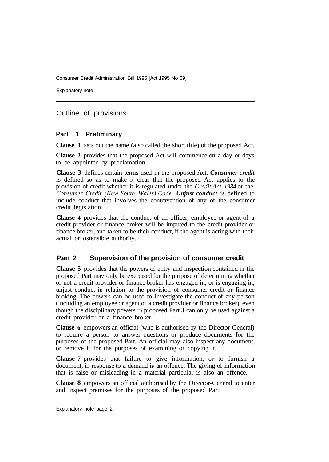Explanatory note

Outline of provisions

#### **Part 1 Preliminary**

**Clause 1** sets out the name (also called the short title) of the proposed Act.

**Clause 2** provides that the proposed Act will commence on a day or days to be appointed by proclamation.

**Clause 3** defines certain terms used in the proposed Act. *Consumer credit*  is defined so as to make it clear that the proposed Act applies to the provision of credit whether it is regulated under the *Credit Act 1984* or the *Consumer Credit (New South Wales) Code. Unjust conduct* is defined to include conduct that involves the contravention of any of the consumer credit legislation.

**Clause 4** provides that the conduct of an officer, employee or agent of a credit provider or finance broker will be imputed to the credit provider or finance broker, and taken to be their conduct, if the agent is acting with their actual or ostensible authority.

## **Part 2 Supervision of the provision of consumer credit**

**Clause 5** provides that the powers of entry and inspection contained in the proposed Part may only be exercised for the purpose of determining whether or not a credit provider or finance broker has engaged in, or is engaging in, unjust conduct in relation to the provision of consumer credit or finance broking. The powers can be used to investigate the conduct of any person (including an employee or agent of a credit provider or finance broker), even though the disciplinary powers in proposed Part **3** can only be used against a credit provider or a finance broker.

**Clause 6** empowers an official (who is authorised by the Director-General) to require a person to answer questions or produce documents for the purposes of the proposed Part. An official may also inspect any document, or remove it for the purposes of examining or copying it.

**Clause 7** provides that failure to give information, or to furnish a document, in response to a demand **is** an offence. The giving of information that is false or misleading in a material particular is also an offence.

**Clause 8** empowers an official authorised by the Director-General to enter and inspect premises for the purposes of the proposed Part.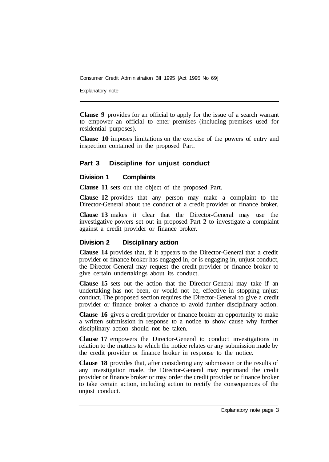Explanatory note

**Clause 9** provides for an official to apply for the issue of a search warrant to empower an official to enter premises (including premises used for residential purposes).

**Clause 10** imposes limitations on the exercise of the powers of entry and inspection contained in the proposed Part.

#### **Part 3 Discipline for unjust conduct**

#### **Division 1 Complaints**

**Clause 11** sets out the object of the proposed Part.

**Clause 12** provides that any person may make a complaint to the Director-General about the conduct of a credit provider or finance broker.

**Clause 13** makes it clear that the Director-General may use the investigative powers set out in proposed Part **2** to investigate a complaint against a credit provider or finance broker.

#### **Division 2 Disciplinary action**

**Clause 14** provides that, if it appears to the Director-General that a credit provider or finance broker has engaged in, or is engaging in, unjust conduct, the Director-General may request the credit provider or finance broker to give certain undertakings about its conduct.

**Clause 15** sets out the action that the Director-General may take if an undertaking has not been, or would not be, effective in stopping unjust conduct. The proposed section requires the Director-General to give a credit provider or finance broker a chance to avoid further disciplinary action.

**Clause 16** gives a credit provider or finance broker an opportunity to make a written submission in response to a notice to show cause why further disciplinary action should not be taken.

**Clause 17** empowers the Director-General to conduct investigations in relation to the matters to which the notice relates or any submission made by the credit provider or finance broker in response to the notice.

**Clause 18** provides that, after considering any submission or the results of any investigation made, the Director-General may reprimand the credit provider or finance broker or may order the credit provider or finance broker to take certain action, including action to rectify the consequences of the unjust conduct.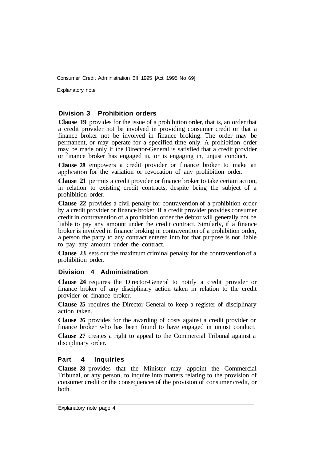Explanatory note

#### **Division 3 Prohibition orders**

**Clause 19** provides for the issue of a prohibition order, that is, an order that a credit provider not be involved in providing consumer credit or that a finance broker not be involved in finance broking. The order may be permanent, or may operate for a specified time only. A prohibition order may be made only if the Director-General is satisfied that a credit provider or finance broker has engaged in, or is engaging in, unjust conduct.

**Clause 28** empowers a credit provider or finance broker to make an application for the variation or revocation of any prohibition order.

**Clause 21**  permits a credit provider or finance broker to take certain action, in relation to existing credit contracts, despite being the subject of a prohibition order.

**Clause 22**  provides a civil penalty for contravention of a prohibition order by a credit provider or finance broker. If a credit provider provides consumer credit in contravention of a prohibition order the debtor will generally not be liable to pay any amount under the credit contract. Similarly, if a finance broker is involved in finance broking in contravention of a prohibition order, a person the party to any contract entered into for that purpose is not liable to pay any amount under the contract.

**Clause 23** sets out the maximum criminal penalty for the contravention of a prohibition order.

#### **Division 4 Administration**

**Clause 24** requires the Director-General to notify a credit provider or finance broker of any disciplinary action taken in relation to the credit provider or finance broker.

**Clause 25** requires the Director-General to keep a register of disciplinary action taken.

**Clause 26** provides for the awarding of costs against a credit provider or finance broker who has been found to have engaged in unjust conduct.

**Clause 27** creates a right to appeal to the Commercial Tribunal against a disciplinary order.

#### **Part 4 Inquiries**

**Clause 28** provides that the Minister may appoint the Commercial Tribunal, or any person, to inquire into matters relating to the provision of consumer credit or the consequences of the provision of consumer credit, or both.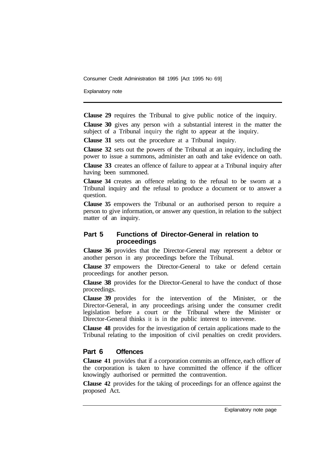Explanatory note

**Clause 29** requires the Tribunal to give public notice of the inquiry.

**Clause 30** gives any person with a substantial interest in the matter the subject of a Tribunal inquiry the right to appear at the inquiry.

**Clause 31** sets out the procedure at a Tribunal inquiry.

**Clause 32** sets out the powers of the Tribunal at an inquiry, including the power to issue a summons, administer an oath and take evidence on oath.

**Clause 33** creates an offence of failure to appear at a Tribunal inquiry after having been summoned.

**Clause 34** creates an offence relating to the refusal to be sworn at a Tribunal inquiry and the refusal to produce a document or to answer a question.

**Clause 35** empowers the Tribunal or an authorised person to require a person to give information, or answer any question, in relation to the subject matter of an inquiry.

#### **Part 5 Functions of Director-General in relation to proceedings**

**Clause 36** provides that the Director-General may represent a debtor or another person in any proceedings before the Tribunal.

**Clause 37** empowers the Director-General to take or defend certain proceedings for another person.

**Clause 38** provides for the Director-General to have the conduct of those proceedings.

**Clause 39** provides for the intervention of the Minister, or the Director-General, in any proceedings arising under the consumer credit legislation before a court or the Tribunal where the Minister or Director-General thinks it is in the public interest to intervene.

**Clause 48** provides for the investigation of certain applications made to the Tribunal relating to the imposition of civil penalties on credit providers.

## **Part 6 Offences**

**Clause 41** provides that if a corporation commits an offence, each officer of the corporation is taken to have committed the offence if the officer knowingly authorised or permitted the contravention.

**Clause 42** provides for the taking of proceedings for an offence against the proposed Act.